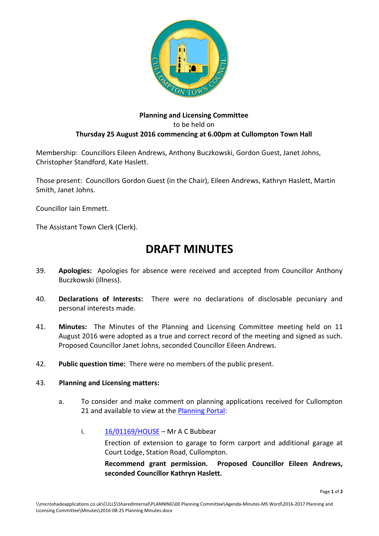

## **Planning and Licensing Committee** to be held on **Thursday 25 August 2016 commencing at 6.00pm at Cullompton Town Hall**

Membership: Councillors Eileen Andrews, Anthony Buczkowski, Gordon Guest, Janet Johns, Christopher Standford, Kate Haslett.

Those present: Councillors Gordon Guest (in the Chair), Eileen Andrews, Kathryn Haslett, Martin Smith, Janet Johns.

Councillor Iain Emmett.

The Assistant Town Clerk (Clerk).

## **DRAFT MINUTES**

- 39. **Apologies:** Apologies for absence were received and accepted from Councillor Anthony Buczkowski (illness).
- 40. **Declarations of Interests:** There were no declarations of disclosable pecuniary and personal interests made.
- 41. **Minutes:** The Minutes of the Planning and Licensing Committee meeting held on 11 August 2016 were adopted as a true and correct record of the meeting and signed as such. Proposed Councillor Janet Johns, seconded Councillor Eileen Andrews.
- 42. **Public question time:** There were no members of the public present.

## 43. **Planning and Licensing matters:**

- a. To consider and make comment on planning applications received for Cullompton 21 and available to view at the [Planning Portal:](http://planning.middevon.gov.uk/online-applications/refineSearch.do?action=refine)
	- i.  $16/01169/HOUSE Mr A C Bubblear$  $16/01169/HOUSE Mr A C Bubblear$

Erection of extension to garage to form carport and additional garage at Court Lodge, Station Road, Cullompton.

**Recommend grant permission. Proposed Councillor Eileen Andrews, seconded Councillor Kathryn Haslett.**